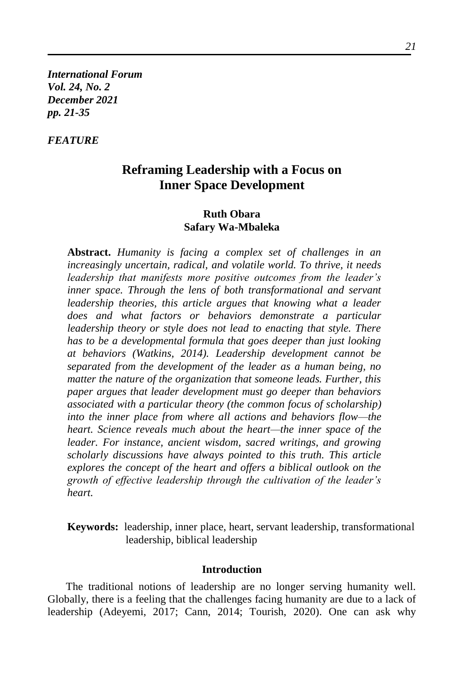*International Forum Vol. 24, No. 2 December 2021 pp. 21-35*

## *FEATURE*

# **Reframing Leadership with a Focus on Inner Space Development**

## **Ruth Obara Safary Wa-Mbaleka**

**Abstract.** *Humanity is facing a complex set of challenges in an increasingly uncertain, radical, and volatile world. To thrive, it needs leadership that manifests more positive outcomes from the leader's inner space. Through the lens of both transformational and servant leadership theories, this article argues that knowing what a leader does and what factors or behaviors demonstrate a particular leadership theory or style does not lead to enacting that style. There has to be a developmental formula that goes deeper than just looking at behaviors (Watkins, 2014). Leadership development cannot be separated from the development of the leader as a human being, no matter the nature of the organization that someone leads. Further, this paper argues that leader development must go deeper than behaviors associated with a particular theory (the common focus of scholarship) into the inner place from where all actions and behaviors flow—the heart. Science reveals much about the heart—the inner space of the leader. For instance, ancient wisdom, sacred writings, and growing scholarly discussions have always pointed to this truth. This article explores the concept of the heart and offers a biblical outlook on the growth of effective leadership through the cultivation of the leader's heart.*

**Keywords:** leadership, inner place, heart, servant leadership, transformational leadership, biblical leadership

### **Introduction**

The traditional notions of leadership are no longer serving humanity well. Globally, there is a feeling that the challenges facing humanity are due to a lack of leadership (Adeyemi, 2017; Cann, 2014; Tourish, 2020). One can ask why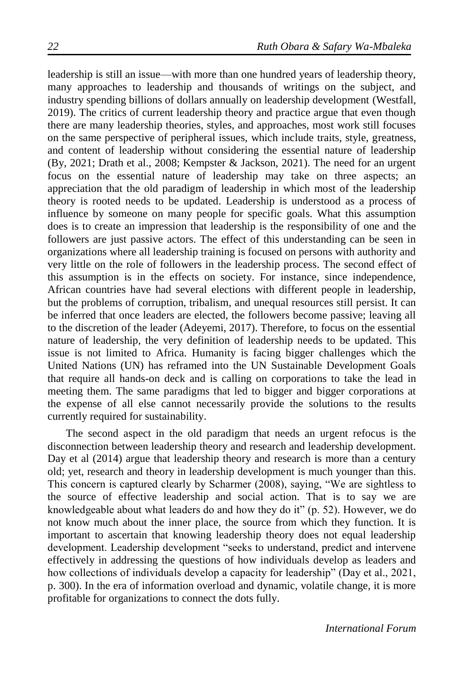leadership is still an issue—with more than one hundred years of leadership theory, many approaches to leadership and thousands of writings on the subject, and industry spending billions of dollars annually on leadership development (Westfall, 2019). The critics of current leadership theory and practice argue that even though there are many leadership theories, styles, and approaches, most work still focuses on the same perspective of peripheral issues, which include traits, style, greatness, and content of leadership without considering the essential nature of leadership (By, 2021; Drath et al., 2008; Kempster & Jackson, 2021). The need for an urgent focus on the essential nature of leadership may take on three aspects; an appreciation that the old paradigm of leadership in which most of the leadership theory is rooted needs to be updated. Leadership is understood as a process of influence by someone on many people for specific goals. What this assumption does is to create an impression that leadership is the responsibility of one and the followers are just passive actors. The effect of this understanding can be seen in organizations where all leadership training is focused on persons with authority and very little on the role of followers in the leadership process. The second effect of this assumption is in the effects on society. For instance, since independence, African countries have had several elections with different people in leadership, but the problems of corruption, tribalism, and unequal resources still persist. It can be inferred that once leaders are elected, the followers become passive; leaving all to the discretion of the leader (Adeyemi, 2017). Therefore, to focus on the essential nature of leadership, the very definition of leadership needs to be updated. This issue is not limited to Africa. Humanity is facing bigger challenges which the United Nations (UN) has reframed into the UN Sustainable Development Goals that require all hands-on deck and is calling on corporations to take the lead in meeting them. The same paradigms that led to bigger and bigger corporations at the expense of all else cannot necessarily provide the solutions to the results currently required for sustainability.

The second aspect in the old paradigm that needs an urgent refocus is the disconnection between leadership theory and research and leadership development. Day et al (2014) argue that leadership theory and research is more than a century old; yet, research and theory in leadership development is much younger than this. This concern is captured clearly by Scharmer (2008), saying, "We are sightless to the source of effective leadership and social action. That is to say we are knowledgeable about what leaders do and how they do it" (p. 52). However, we do not know much about the inner place, the source from which they function. It is important to ascertain that knowing leadership theory does not equal leadership development. Leadership development "seeks to understand, predict and intervene effectively in addressing the questions of how individuals develop as leaders and how collections of individuals develop a capacity for leadership" (Day et al., 2021, p. 300). In the era of information overload and dynamic, volatile change, it is more profitable for organizations to connect the dots fully.

*International Forum*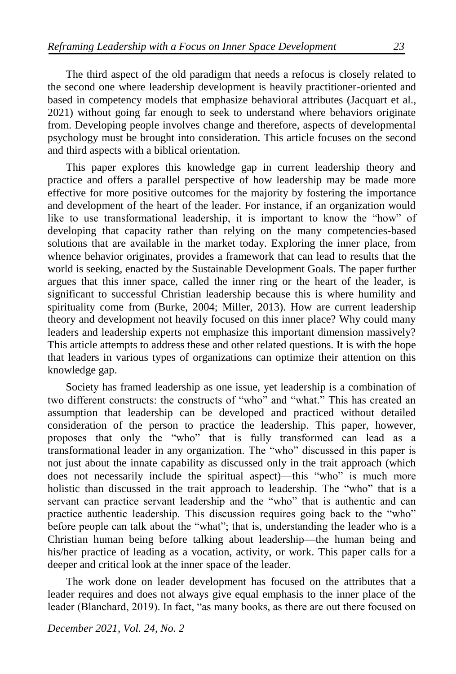The third aspect of the old paradigm that needs a refocus is closely related to the second one where leadership development is heavily practitioner-oriented and based in competency models that emphasize behavioral attributes (Jacquart et al., 2021) without going far enough to seek to understand where behaviors originate from. Developing people involves change and therefore, aspects of developmental psychology must be brought into consideration. This article focuses on the second and third aspects with a biblical orientation.

This paper explores this knowledge gap in current leadership theory and practice and offers a parallel perspective of how leadership may be made more effective for more positive outcomes for the majority by fostering the importance and development of the heart of the leader. For instance, if an organization would like to use transformational leadership, it is important to know the "how" of developing that capacity rather than relying on the many competencies-based solutions that are available in the market today. Exploring the inner place, from whence behavior originates, provides a framework that can lead to results that the world is seeking, enacted by the Sustainable Development Goals. The paper further argues that this inner space, called the inner ring or the heart of the leader, is significant to successful Christian leadership because this is where humility and spirituality come from (Burke, 2004; Miller, 2013). How are current leadership theory and development not heavily focused on this inner place? Why could many leaders and leadership experts not emphasize this important dimension massively? This article attempts to address these and other related questions. It is with the hope that leaders in various types of organizations can optimize their attention on this knowledge gap.

Society has framed leadership as one issue, yet leadership is a combination of two different constructs: the constructs of "who" and "what." This has created an assumption that leadership can be developed and practiced without detailed consideration of the person to practice the leadership. This paper, however, proposes that only the "who" that is fully transformed can lead as a transformational leader in any organization. The "who" discussed in this paper is not just about the innate capability as discussed only in the trait approach (which does not necessarily include the spiritual aspect)—this "who" is much more holistic than discussed in the trait approach to leadership. The "who" that is a servant can practice servant leadership and the "who" that is authentic and can practice authentic leadership. This discussion requires going back to the "who" before people can talk about the "what"; that is, understanding the leader who is a Christian human being before talking about leadership—the human being and his/her practice of leading as a vocation, activity, or work. This paper calls for a deeper and critical look at the inner space of the leader.

The work done on leader development has focused on the attributes that a leader requires and does not always give equal emphasis to the inner place of the leader (Blanchard, 2019). In fact, "as many books, as there are out there focused on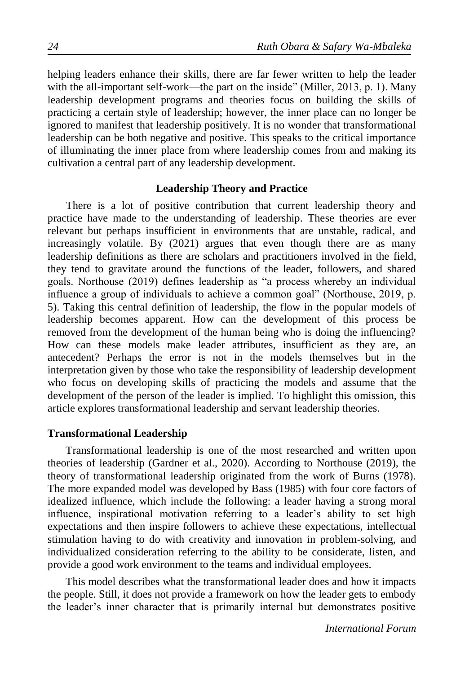helping leaders enhance their skills, there are far fewer written to help the leader with the all-important self-work—the part on the inside" (Miller, 2013, p. 1). Many leadership development programs and theories focus on building the skills of practicing a certain style of leadership; however, the inner place can no longer be ignored to manifest that leadership positively. It is no wonder that transformational leadership can be both negative and positive. This speaks to the critical importance of illuminating the inner place from where leadership comes from and making its cultivation a central part of any leadership development.

## **Leadership Theory and Practice**

There is a lot of positive contribution that current leadership theory and practice have made to the understanding of leadership. These theories are ever relevant but perhaps insufficient in environments that are unstable, radical, and increasingly volatile. By (2021) argues that even though there are as many leadership definitions as there are scholars and practitioners involved in the field, they tend to gravitate around the functions of the leader, followers, and shared goals. Northouse (2019) defines leadership as "a process whereby an individual influence a group of individuals to achieve a common goal" (Northouse, 2019, p. 5). Taking this central definition of leadership, the flow in the popular models of leadership becomes apparent. How can the development of this process be removed from the development of the human being who is doing the influencing? How can these models make leader attributes, insufficient as they are, an antecedent? Perhaps the error is not in the models themselves but in the interpretation given by those who take the responsibility of leadership development who focus on developing skills of practicing the models and assume that the development of the person of the leader is implied. To highlight this omission, this article explores transformational leadership and servant leadership theories.

### **Transformational Leadership**

Transformational leadership is one of the most researched and written upon theories of leadership (Gardner et al., 2020). According to Northouse (2019), the theory of transformational leadership originated from the work of Burns (1978). The more expanded model was developed by Bass (1985) with four core factors of idealized influence, which include the following: a leader having a strong moral influence, inspirational motivation referring to a leader's ability to set high expectations and then inspire followers to achieve these expectations, intellectual stimulation having to do with creativity and innovation in problem-solving, and individualized consideration referring to the ability to be considerate, listen, and provide a good work environment to the teams and individual employees.

This model describes what the transformational leader does and how it impacts the people. Still, it does not provide a framework on how the leader gets to embody the leader's inner character that is primarily internal but demonstrates positive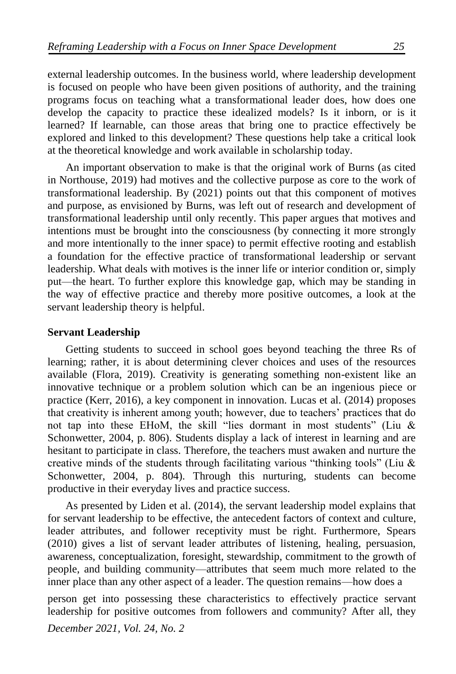external leadership outcomes. In the business world, where leadership development is focused on people who have been given positions of authority, and the training programs focus on teaching what a transformational leader does, how does one develop the capacity to practice these idealized models? Is it inborn, or is it learned? If learnable, can those areas that bring one to practice effectively be explored and linked to this development? These questions help take a critical look at the theoretical knowledge and work available in scholarship today.

An important observation to make is that the original work of Burns (as cited in Northouse, 2019) had motives and the collective purpose as core to the work of transformational leadership. By (2021) points out that this component of motives and purpose, as envisioned by Burns, was left out of research and development of transformational leadership until only recently. This paper argues that motives and intentions must be brought into the consciousness (by connecting it more strongly and more intentionally to the inner space) to permit effective rooting and establish a foundation for the effective practice of transformational leadership or servant leadership. What deals with motives is the inner life or interior condition or, simply put—the heart. To further explore this knowledge gap, which may be standing in the way of effective practice and thereby more positive outcomes, a look at the servant leadership theory is helpful.

### **Servant Leadership**

Getting students to succeed in school goes beyond teaching the three Rs of learning; rather, it is about determining clever choices and uses of the resources available (Flora, 2019). Creativity is generating something non-existent like an innovative technique or a problem solution which can be an ingenious piece or practice (Kerr, 2016), a key component in innovation. Lucas et al. (2014) proposes that creativity is inherent among youth; however, due to teachers' practices that do not tap into these EHoM, the skill "lies dormant in most students" (Liu & Schonwetter, 2004, p. 806). Students display a lack of interest in learning and are hesitant to participate in class. Therefore, the teachers must awaken and nurture the creative minds of the students through facilitating various "thinking tools" (Liu & Schonwetter, 2004, p. 804). Through this nurturing, students can become productive in their everyday lives and practice success.

As presented by Liden et al. (2014), the servant leadership model explains that for servant leadership to be effective, the antecedent factors of context and culture, leader attributes, and follower receptivity must be right. Furthermore, Spears (2010) gives a list of servant leader attributes of listening, healing, persuasion, awareness, conceptualization, foresight, stewardship, commitment to the growth of people, and building community—attributes that seem much more related to the inner place than any other aspect of a leader. The question remains—how does a

person get into possessing these characteristics to effectively practice servant leadership for positive outcomes from followers and community? After all, they

*December 2021, Vol. 24, No. 2*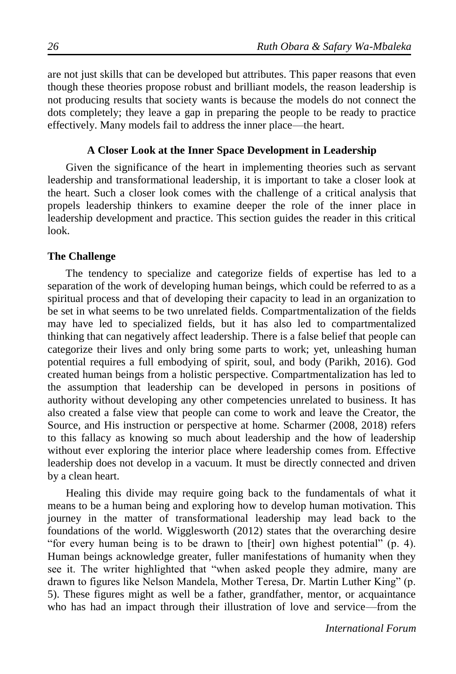are not just skills that can be developed but attributes. This paper reasons that even though these theories propose robust and brilliant models, the reason leadership is not producing results that society wants is because the models do not connect the dots completely; they leave a gap in preparing the people to be ready to practice effectively. Many models fail to address the inner place—the heart.

## **A Closer Look at the Inner Space Development in Leadership**

Given the significance of the heart in implementing theories such as servant leadership and transformational leadership, it is important to take a closer look at the heart. Such a closer look comes with the challenge of a critical analysis that propels leadership thinkers to examine deeper the role of the inner place in leadership development and practice. This section guides the reader in this critical look.

## **The Challenge**

The tendency to specialize and categorize fields of expertise has led to a separation of the work of developing human beings, which could be referred to as a spiritual process and that of developing their capacity to lead in an organization to be set in what seems to be two unrelated fields. Compartmentalization of the fields may have led to specialized fields, but it has also led to compartmentalized thinking that can negatively affect leadership. There is a false belief that people can categorize their lives and only bring some parts to work; yet, unleashing human potential requires a full embodying of spirit, soul, and body (Parikh, 2016). God created human beings from a holistic perspective. Compartmentalization has led to the assumption that leadership can be developed in persons in positions of authority without developing any other competencies unrelated to business. It has also created a false view that people can come to work and leave the Creator, the Source, and His instruction or perspective at home. Scharmer (2008, 2018) refers to this fallacy as knowing so much about leadership and the how of leadership without ever exploring the interior place where leadership comes from. Effective leadership does not develop in a vacuum. It must be directly connected and driven by a clean heart.

Healing this divide may require going back to the fundamentals of what it means to be a human being and exploring how to develop human motivation. This journey in the matter of transformational leadership may lead back to the foundations of the world. Wigglesworth (2012) states that the overarching desire "for every human being is to be drawn to [their] own highest potential" (p. 4). Human beings acknowledge greater, fuller manifestations of humanity when they see it. The writer highlighted that "when asked people they admire, many are drawn to figures like Nelson Mandela, Mother Teresa, Dr. Martin Luther King" (p. 5). These figures might as well be a father, grandfather, mentor, or acquaintance who has had an impact through their illustration of love and service—from the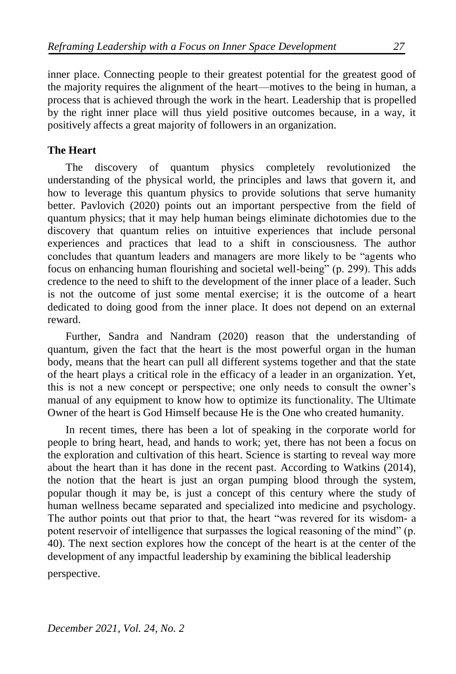inner place. Connecting people to their greatest potential for the greatest good of the majority requires the alignment of the heart—motives to the being in human, a process that is achieved through the work in the heart. Leadership that is propelled by the right inner place will thus yield positive outcomes because, in a way, it positively affects a great majority of followers in an organization.

## **The Heart**

The discovery of quantum physics completely revolutionized the understanding of the physical world, the principles and laws that govern it, and how to leverage this quantum physics to provide solutions that serve humanity better. Pavlovich (2020) points out an important perspective from the field of quantum physics; that it may help human beings eliminate dichotomies due to the discovery that quantum relies on intuitive experiences that include personal experiences and practices that lead to a shift in consciousness. The author concludes that quantum leaders and managers are more likely to be "agents who focus on enhancing human flourishing and societal well-being" (p. 299). This adds credence to the need to shift to the development of the inner place of a leader. Such is not the outcome of just some mental exercise; it is the outcome of a heart dedicated to doing good from the inner place. It does not depend on an external reward.

Further, Sandra and Nandram (2020) reason that the understanding of quantum, given the fact that the heart is the most powerful organ in the human body, means that the heart can pull all different systems together and that the state of the heart plays a critical role in the efficacy of a leader in an organization. Yet, this is not a new concept or perspective; one only needs to consult the owner's manual of any equipment to know how to optimize its functionality. The Ultimate Owner of the heart is God Himself because He is the One who created humanity.

In recent times, there has been a lot of speaking in the corporate world for people to bring heart, head, and hands to work; yet, there has not been a focus on the exploration and cultivation of this heart. Science is starting to reveal way more about the heart than it has done in the recent past. According to Watkins (2014), the notion that the heart is just an organ pumping blood through the system, popular though it may be, is just a concept of this century where the study of human wellness became separated and specialized into medicine and psychology. The author points out that prior to that, the heart "was revered for its wisdom- a potent reservoir of intelligence that surpasses the logical reasoning of the mind" (p. 40). The next section explores how the concept of the heart is at the center of the development of any impactful leadership by examining the biblical leadership

perspective.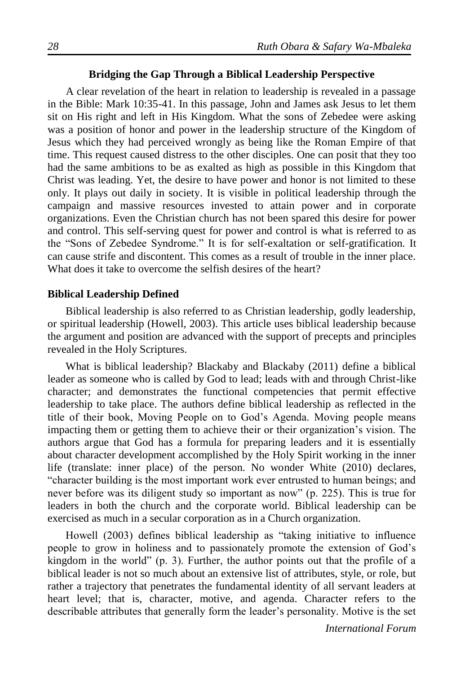### **Bridging the Gap Through a Biblical Leadership Perspective**

A clear revelation of the heart in relation to leadership is revealed in a passage in the Bible: Mark 10:35-41. In this passage, John and James ask Jesus to let them sit on His right and left in His Kingdom. What the sons of Zebedee were asking was a position of honor and power in the leadership structure of the Kingdom of Jesus which they had perceived wrongly as being like the Roman Empire of that time. This request caused distress to the other disciples. One can posit that they too had the same ambitions to be as exalted as high as possible in this Kingdom that Christ was leading. Yet, the desire to have power and honor is not limited to these only. It plays out daily in society. It is visible in political leadership through the campaign and massive resources invested to attain power and in corporate organizations. Even the Christian church has not been spared this desire for power and control. This self-serving quest for power and control is what is referred to as the "Sons of Zebedee Syndrome." It is for self-exaltation or self-gratification. It can cause strife and discontent. This comes as a result of trouble in the inner place. What does it take to overcome the selfish desires of the heart?

### **Biblical Leadership Defined**

Biblical leadership is also referred to as Christian leadership, godly leadership, or spiritual leadership (Howell, 2003). This article uses biblical leadership because the argument and position are advanced with the support of precepts and principles revealed in the Holy Scriptures.

What is biblical leadership? Blackaby and Blackaby (2011) define a biblical leader as someone who is called by God to lead; leads with and through Christ-like character; and demonstrates the functional competencies that permit effective leadership to take place. The authors define biblical leadership as reflected in the title of their book, Moving People on to God's Agenda. Moving people means impacting them or getting them to achieve their or their organization's vision. The authors argue that God has a formula for preparing leaders and it is essentially about character development accomplished by the Holy Spirit working in the inner life (translate: inner place) of the person. No wonder White (2010) declares, "character building is the most important work ever entrusted to human beings; and never before was its diligent study so important as now" (p. 225). This is true for leaders in both the church and the corporate world. Biblical leadership can be exercised as much in a secular corporation as in a Church organization.

Howell (2003) defines biblical leadership as "taking initiative to influence people to grow in holiness and to passionately promote the extension of God's kingdom in the world" (p. 3). Further, the author points out that the profile of a biblical leader is not so much about an extensive list of attributes, style, or role, but rather a trajectory that penetrates the fundamental identity of all servant leaders at heart level; that is, character, motive, and agenda. Character refers to the describable attributes that generally form the leader's personality. Motive is the set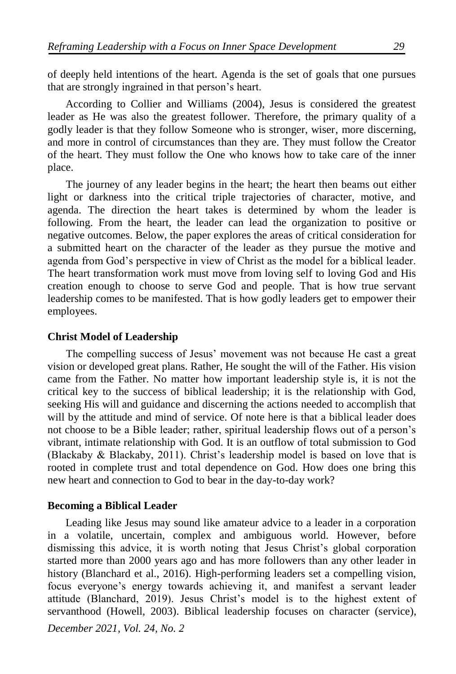of deeply held intentions of the heart. Agenda is the set of goals that one pursues that are strongly ingrained in that person's heart.

According to Collier and Williams (2004), Jesus is considered the greatest leader as He was also the greatest follower. Therefore, the primary quality of a godly leader is that they follow Someone who is stronger, wiser, more discerning, and more in control of circumstances than they are. They must follow the Creator of the heart. They must follow the One who knows how to take care of the inner place.

The journey of any leader begins in the heart; the heart then beams out either light or darkness into the critical triple trajectories of character, motive, and agenda. The direction the heart takes is determined by whom the leader is following. From the heart, the leader can lead the organization to positive or negative outcomes. Below, the paper explores the areas of critical consideration for a submitted heart on the character of the leader as they pursue the motive and agenda from God's perspective in view of Christ as the model for a biblical leader. The heart transformation work must move from loving self to loving God and His creation enough to choose to serve God and people. That is how true servant leadership comes to be manifested. That is how godly leaders get to empower their employees.

### **Christ Model of Leadership**

The compelling success of Jesus' movement was not because He cast a great vision or developed great plans. Rather, He sought the will of the Father. His vision came from the Father. No matter how important leadership style is, it is not the critical key to the success of biblical leadership; it is the relationship with God, seeking His will and guidance and discerning the actions needed to accomplish that will by the attitude and mind of service. Of note here is that a biblical leader does not choose to be a Bible leader; rather, spiritual leadership flows out of a person's vibrant, intimate relationship with God. It is an outflow of total submission to God (Blackaby & Blackaby, 2011). Christ's leadership model is based on love that is rooted in complete trust and total dependence on God. How does one bring this new heart and connection to God to bear in the day-to-day work?

## **Becoming a Biblical Leader**

Leading like Jesus may sound like amateur advice to a leader in a corporation in a volatile, uncertain, complex and ambiguous world. However, before dismissing this advice, it is worth noting that Jesus Christ's global corporation started more than 2000 years ago and has more followers than any other leader in history (Blanchard et al., 2016). High-performing leaders set a compelling vision, focus everyone's energy towards achieving it, and manifest a servant leader attitude (Blanchard, 2019). Jesus Christ's model is to the highest extent of servanthood (Howell, 2003). Biblical leadership focuses on character (service),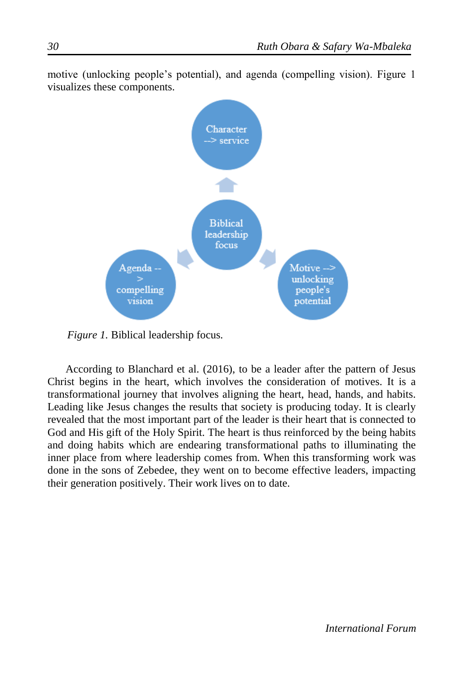

motive (unlocking people's potential), and agenda (compelling vision). Figure 1 visualizes these components.

*Figure 1.* Biblical leadership focus.

According to Blanchard et al. (2016), to be a leader after the pattern of Jesus Christ begins in the heart, which involves the consideration of motives. It is a transformational journey that involves aligning the heart, head, hands, and habits. Leading like Jesus changes the results that society is producing today. It is clearly revealed that the most important part of the leader is their heart that is connected to God and His gift of the Holy Spirit. The heart is thus reinforced by the being habits and doing habits which are endearing transformational paths to illuminating the inner place from where leadership comes from. When this transforming work was done in the sons of Zebedee, they went on to become effective leaders, impacting their generation positively. Their work lives on to date.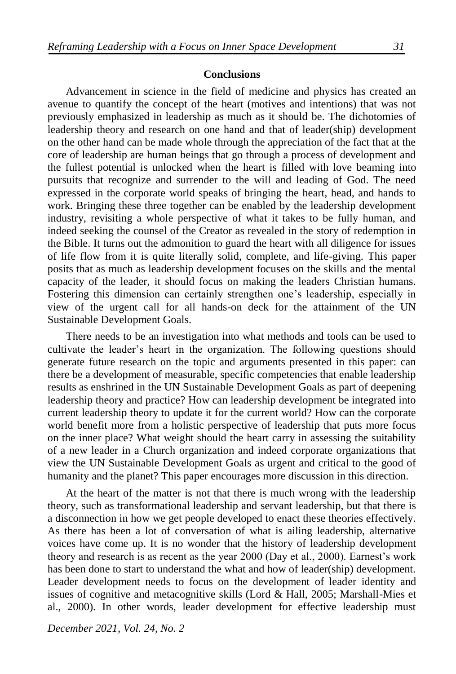#### **Conclusions**

Advancement in science in the field of medicine and physics has created an avenue to quantify the concept of the heart (motives and intentions) that was not previously emphasized in leadership as much as it should be. The dichotomies of leadership theory and research on one hand and that of leader(ship) development on the other hand can be made whole through the appreciation of the fact that at the core of leadership are human beings that go through a process of development and the fullest potential is unlocked when the heart is filled with love beaming into pursuits that recognize and surrender to the will and leading of God. The need expressed in the corporate world speaks of bringing the heart, head, and hands to work. Bringing these three together can be enabled by the leadership development industry, revisiting a whole perspective of what it takes to be fully human, and indeed seeking the counsel of the Creator as revealed in the story of redemption in the Bible. It turns out the admonition to guard the heart with all diligence for issues of life flow from it is quite literally solid, complete, and life-giving. This paper posits that as much as leadership development focuses on the skills and the mental capacity of the leader, it should focus on making the leaders Christian humans. Fostering this dimension can certainly strengthen one's leadership, especially in view of the urgent call for all hands-on deck for the attainment of the UN Sustainable Development Goals.

There needs to be an investigation into what methods and tools can be used to cultivate the leader's heart in the organization. The following questions should generate future research on the topic and arguments presented in this paper: can there be a development of measurable, specific competencies that enable leadership results as enshrined in the UN Sustainable Development Goals as part of deepening leadership theory and practice? How can leadership development be integrated into current leadership theory to update it for the current world? How can the corporate world benefit more from a holistic perspective of leadership that puts more focus on the inner place? What weight should the heart carry in assessing the suitability of a new leader in a Church organization and indeed corporate organizations that view the UN Sustainable Development Goals as urgent and critical to the good of humanity and the planet? This paper encourages more discussion in this direction.

At the heart of the matter is not that there is much wrong with the leadership theory, such as transformational leadership and servant leadership, but that there is a disconnection in how we get people developed to enact these theories effectively. As there has been a lot of conversation of what is ailing leadership, alternative voices have come up. It is no wonder that the history of leadership development theory and research is as recent as the year 2000 (Day et al., 2000). Earnest's work has been done to start to understand the what and how of leader(ship) development. Leader development needs to focus on the development of leader identity and issues of cognitive and metacognitive skills (Lord & Hall, 2005; Marshall-Mies et al., 2000). In other words, leader development for effective leadership must

*December 2021, Vol. 24, No. 2*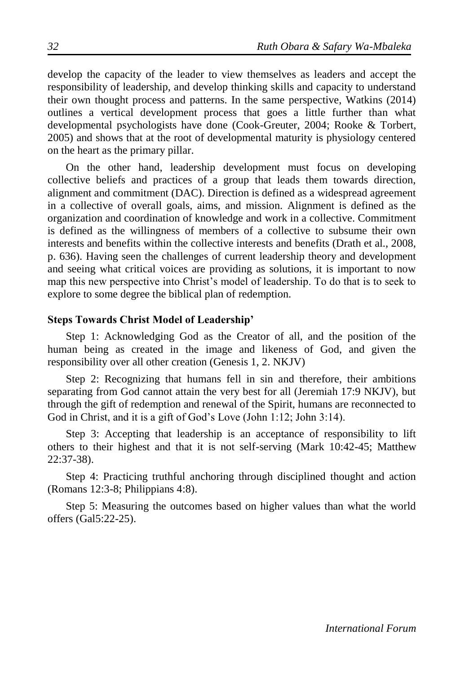develop the capacity of the leader to view themselves as leaders and accept the responsibility of leadership, and develop thinking skills and capacity to understand their own thought process and patterns. In the same perspective, Watkins (2014) outlines a vertical development process that goes a little further than what developmental psychologists have done (Cook-Greuter, 2004; Rooke & Torbert, 2005) and shows that at the root of developmental maturity is physiology centered on the heart as the primary pillar.

On the other hand, leadership development must focus on developing collective beliefs and practices of a group that leads them towards direction, alignment and commitment (DAC). Direction is defined as a widespread agreement in a collective of overall goals, aims, and mission. Alignment is defined as the organization and coordination of knowledge and work in a collective. Commitment is defined as the willingness of members of a collective to subsume their own interests and benefits within the collective interests and benefits (Drath et al., 2008, p. 636). Having seen the challenges of current leadership theory and development and seeing what critical voices are providing as solutions, it is important to now map this new perspective into Christ's model of leadership. To do that is to seek to explore to some degree the biblical plan of redemption.

## **Steps Towards Christ Model of Leadership'**

Step 1: Acknowledging God as the Creator of all, and the position of the human being as created in the image and likeness of God, and given the responsibility over all other creation (Genesis 1, 2. NKJV)

Step 2: Recognizing that humans fell in sin and therefore, their ambitions separating from God cannot attain the very best for all (Jeremiah 17:9 NKJV), but through the gift of redemption and renewal of the Spirit, humans are reconnected to God in Christ, and it is a gift of God's Love (John 1:12; John 3:14).

Step 3: Accepting that leadership is an acceptance of responsibility to lift others to their highest and that it is not self-serving (Mark 10:42-45; Matthew 22:37-38).

Step 4: Practicing truthful anchoring through disciplined thought and action (Romans 12:3-8; Philippians 4:8).

Step 5: Measuring the outcomes based on higher values than what the world offers (Gal5:22-25).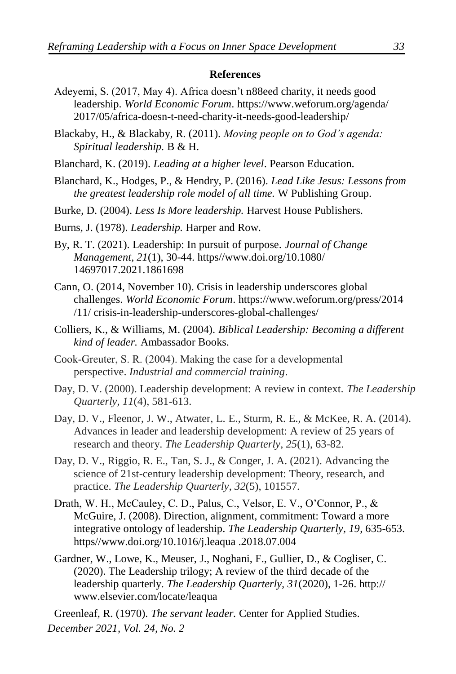#### **References**

- Adeyemi, S. (2017, May 4). Africa doesn't n88eed charity, it needs good leadership. *World Economic Forum*. https://www.weforum.org/agenda/ 2017/05/africa-doesn-t-need-charity-it-needs-good-leadership/
- Blackaby, H., & Blackaby, R. (2011). *Moving people on to God's agenda: Spiritual leadership.* B & H.
- Blanchard, K. (2019). *Leading at a higher level*. Pearson Education.
- Blanchard, K., Hodges, P., & Hendry, P. (2016). *Lead Like Jesus: Lessons from the greatest leadership role model of all time.* W Publishing Group.
- Burke, D. (2004). *Less Is More leadership.* Harvest House Publishers.
- Burns, J. (1978). *Leadership.* Harper and Row.
- By, R. T. (2021). Leadership: In pursuit of purpose. *Journal of Change Management, 21*(1), 30-44. https//www.doi.org/10.1080/ 14697017.2021.1861698
- Cann, O. (2014, November 10). Crisis in leadership underscores global challenges. *World Economic Forum*. https://www.weforum.org/press/2014 /11/ crisis-in-leadership-underscores-global-challenges/
- Colliers, K., & Williams, M. (2004). *Biblical Leadership: Becoming a different kind of leader.* Ambassador Books.
- Cook‐Greuter, S. R. (2004). Making the case for a developmental perspective. *Industrial and commercial training*.
- Day, D. V. (2000). Leadership development: A review in context. *The Leadership Quarterly*, *11*(4), 581-613.
- Day, D. V., Fleenor, J. W., Atwater, L. E., Sturm, R. E., & McKee, R. A. (2014). Advances in leader and leadership development: A review of 25 years of research and theory. *The Leadership Quarterly*, *25*(1), 63-82.
- Day, D. V., Riggio, R. E., Tan, S. J., & Conger, J. A. (2021). Advancing the science of 21st-century leadership development: Theory, research, and practice. *The Leadership Quarterly*, *32*(5), 101557.
- Drath, W. H., McCauley, C. D., Palus, C., Velsor, E. V., O'Connor, P., & McGuire, J. (2008). Direction, alignment, commitment: Toward a more integrative ontology of leadership. *The Leadership Quarterly, 19*, 635-653. https//www.doi.org/10.1016/j.leaqua .2018.07.004
- Gardner, W., Lowe, K., Meuser, J., Noghani, F., Gullier, D., & Cogliser, C. (2020). The Leadership trilogy; A review of the third decade of the leadership quarterly. *The Leadership Quarterly, 31*(2020), 1-26. http:// www.elsevier.com/locate/leaqua

*December 2021, Vol. 24, No. 2* Greenleaf, R. (1970). *The servant leader.* Center for Applied Studies.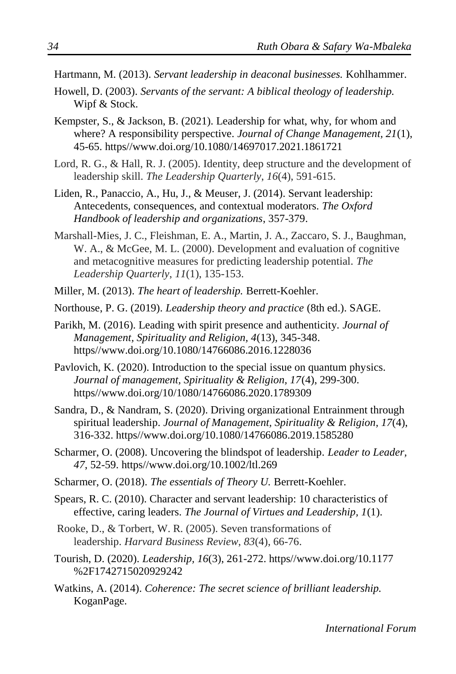- Hartmann, M. (2013). *Servant leadership in deaconal businesses.* Kohlhammer.
- Howell, D. (2003). *Servants of the servant: A biblical theology of leadership.* Wipf & Stock.
- Kempster, S., & Jackson, B. (2021). Leadership for what, why, for whom and where? A responsibility perspective. *Journal of Change Management, 21*(1), 45-65. https//www.doi.org/10.1080/14697017.2021.1861721
- Lord, R. G., & Hall, R. J. (2005). Identity, deep structure and the development of leadership skill. *The Leadership Quarterly*, *16*(4), 591-615.
- Liden, R., Panaccio, A., Hu, J., & Meuser, J. (2014). Servant leadership: Antecedents, consequences, and contextual moderators. *The Oxford Handbook of leadership and organizations*, 357-379.
- Marshall-Mies, J. C., Fleishman, E. A., Martin, J. A., Zaccaro, S. J., Baughman, W. A., & McGee, M. L. (2000). Development and evaluation of cognitive and metacognitive measures for predicting leadership potential. *The Leadership Quarterly*, *11*(1), 135-153.
- Miller, M. (2013). *The heart of leadership.* Berrett-Koehler.
- Northouse, P. G. (2019). *Leadership theory and practice* (8th ed.). SAGE.
- Parikh, M. (2016). Leading with spirit presence and authenticity. *Journal of Management, Spirituality and Religion, 4*(13), 345-348. https//www.doi.org/10.1080/14766086.2016.1228036
- Pavlovich, K. (2020). Introduction to the special issue on quantum physics. *Journal of management, Spirituality & Religion, 17*(4), 299-300. https//www.doi.org/10/1080/14766086.2020.1789309
- Sandra, D., & Nandram, S. (2020). Driving organizational Entrainment through spiritual leadership. *Journal of Management, Spirituality & Religion, 17*(4), 316-332. https//www.doi.org/10.1080/14766086.2019.1585280
- Scharmer, O. (2008). Uncovering the blindspot of leadership. *Leader to Leader, 47*, 52-59. https//www.doi.org/10.1002/ltl.269
- Scharmer, O. (2018). *The essentials of Theory U.* Berrett-Koehler.
- Spears, R. C. (2010). Character and servant leadership: 10 characteristics of effective, caring leaders. *The Journal of Virtues and Leadership, 1*(1).
- Rooke, D., & Torbert, W. R. (2005). Seven transformations of leadership. *Harvard Business Review*, *83*(4), 66-76.
- Tourish, D. (2020). *Leadership, 16*(3), 261-272. https//www.doi.org/10.1177 %2F1742715020929242
- Watkins, A. (2014). *Coherence: The secret science of brilliant leadership.* KoganPage.

*International Forum*